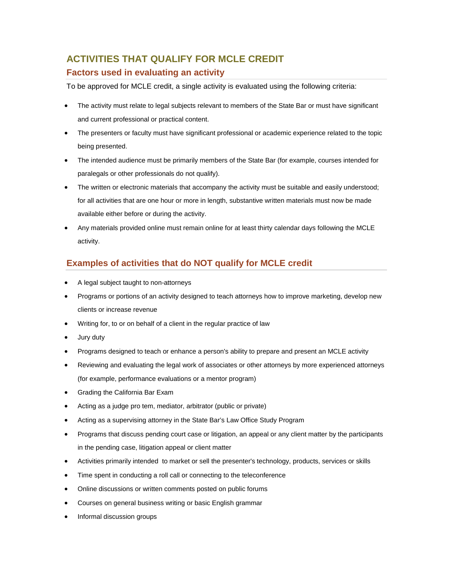# **ACTIVITIES THAT QUALIFY FOR MCLE CREDIT Factors used in evaluating an activity**

To be approved for MCLE credit, a single activity is evaluated using the following criteria:

- The activity must relate to legal subjects relevant to members of the State Bar or must have significant and current professional or practical content.
- The presenters or faculty must have significant professional or academic experience related to the topic being presented.
- The intended audience must be primarily members of the State Bar (for example, courses intended for paralegals or other professionals do not qualify).
- The written or electronic materials that accompany the activity must be suitable and easily understood; for all activities that are one hour or more in length, substantive written materials must now be made available either before or during the activity.
- Any materials provided online must remain online for at least thirty calendar days following the MCLE activity.

# **Examples of activities that do NOT qualify for MCLE credit**

- A legal subject taught to non-attorneys
- Programs or portions of an activity designed to teach attorneys how to improve marketing, develop new clients or increase revenue
- Writing for, to or on behalf of a client in the regular practice of law
- Jury duty
- Programs designed to teach or enhance a person's ability to prepare and present an MCLE activity
- Reviewing and evaluating the legal work of associates or other attorneys by more experienced attorneys (for example, performance evaluations or a mentor program)
- Grading the California Bar Exam
- Acting as a judge pro tem, mediator, arbitrator (public or private)
- Acting as a supervising attorney in the State Bar's Law Office Study Program
- Programs that discuss pending court case or litigation, an appeal or any client matter by the participants in the pending case, litigation appeal or client matter
- Activities primarily intended to market or sell the presenter's technology, products, services or skills
- Time spent in conducting a roll call or connecting to the teleconference
- Online discussions or written comments posted on public forums
- Courses on general business writing or basic English grammar
- Informal discussion groups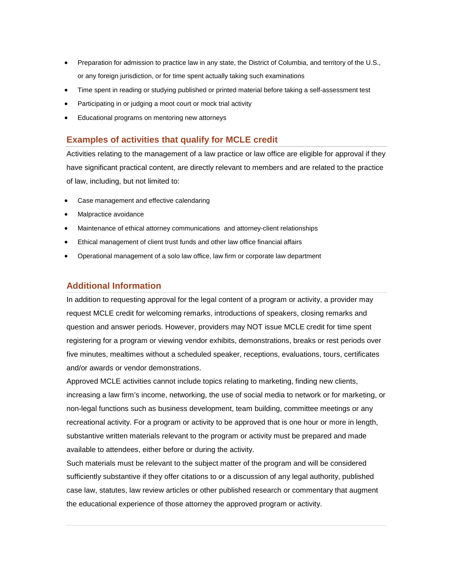- Preparation for admission to practice law in any state, the District of Columbia, and territory of the U.S., or any foreign jurisdiction, or for time spent actually taking such examinations
- Time spent in reading or studying published or printed material before taking a self-assessment test
- Participating in or judging a moot court or mock trial activity
- Educational programs on mentoring new attorneys

# **Examples of activities that qualify for MCLE credit**

Activities relating to the management of a law practice or law office are eligible for approval if they have significant practical content, are directly relevant to members and are related to the practice of law, including, but not limited to:

- Case management and effective calendaring
- Malpractice avoidance
- Maintenance of ethical attorney communications and attorney-client relationships
- Ethical management of client trust funds and other law office financial affairs
- Operational management of a solo law office, law firm or corporate law department

# **Additional Information**

In addition to requesting approval for the legal content of a program or activity, a provider may request MCLE credit for welcoming remarks, introductions of speakers, closing remarks and question and answer periods. However, providers may NOT issue MCLE credit for time spent registering for a program or viewing vendor exhibits, demonstrations, breaks or rest periods over five minutes, mealtimes without a scheduled speaker, receptions, evaluations, tours, certificates and/or awards or vendor demonstrations.

Approved MCLE activities cannot include topics relating to marketing, finding new clients, increasing a law firm's income, networking, the use of social media to network or for marketing, or non-legal functions such as business development, team building, committee meetings or any recreational activity. For a program or activity to be approved that is one hour or more in length, substantive written materials relevant to the program or activity must be prepared and made available to attendees, either before or during the activity.

Such materials must be relevant to the subject matter of the program and will be considered sufficiently substantive if they offer citations to or a discussion of any legal authority, published case law, statutes, law review articles or other published research or commentary that augment the educational experience of those attorney the approved program or activity.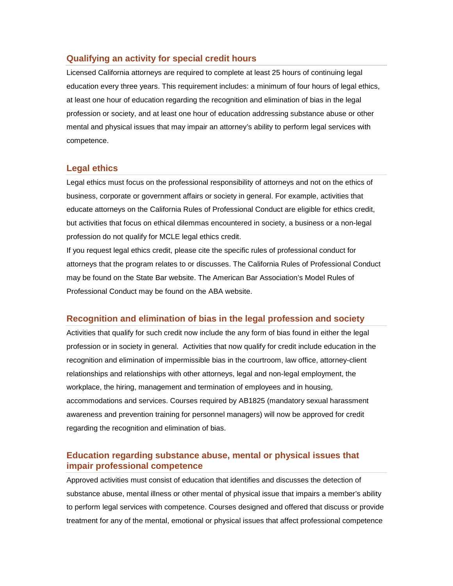#### **Qualifying an activity for special credit hours**

Licensed California attorneys are required to complete at least 25 hours of continuing legal education every three years. This requirement includes: a minimum of four hours of legal ethics, at least one hour of education regarding the recognition and elimination of bias in the legal profession or society, and at least one hour of education addressing substance abuse or other mental and physical issues that may impair an attorney's ability to perform legal services with competence.

#### **Legal ethics**

Legal ethics must focus on the professional responsibility of attorneys and not on the ethics of business, corporate or government affairs or society in general. For example, activities that educate attorneys on the California Rules of Professional Conduct are eligible for ethics credit, but activities that focus on ethical dilemmas encountered in society, a business or a non-legal profession do not qualify for MCLE legal ethics credit.

If you request legal ethics credit, please cite the specific rules of professional conduct for attorneys that the program relates to or discusses. The California Rules of Professional Conduct may be found on the State Bar website. The American Bar Association's Model Rules of Professional Conduct may be found on the ABA website.

# **Recognition and elimination of bias in the legal profession and society**

Activities that qualify for such credit now include the any form of bias found in either the legal profession or in society in general. Activities that now qualify for credit include education in the recognition and elimination of impermissible bias in the courtroom, law office, attorney-client relationships and relationships with other attorneys, legal and non-legal employment, the workplace, the hiring, management and termination of employees and in housing, accommodations and services. Courses required by AB1825 (mandatory sexual harassment awareness and prevention training for personnel managers) will now be approved for credit regarding the recognition and elimination of bias.

# **Education regarding substance abuse, mental or physical issues that impair professional competence**

Approved activities must consist of education that identifies and discusses the detection of substance abuse, mental illness or other mental of physical issue that impairs a member's ability to perform legal services with competence. Courses designed and offered that discuss or provide treatment for any of the mental, emotional or physical issues that affect professional competence